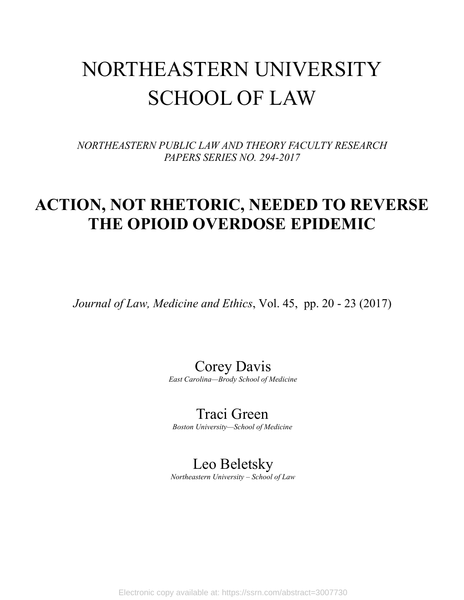# NORTHEASTERN UNIVERSITY SCHOOL OF LAW

*NORTHEASTERN PUBLIC LAW AND THEORY FACULTY RESEARCH PAPERS SERIES NO. 294-2017*

### **ACTION, NOT RHETORIC, NEEDED TO REVERSE THE OPIOID OVERDOSE EPIDEMIC**

*Journal of Law, Medicine and Ethics*, Vol. 45, pp. 20 - 23 (2017)

Corey Davis *East Carolina—Brody School of Medicine*

Traci Green *Boston University—School of Medicine*

### Leo Beletsky

*Northeastern University – School of Law*

Electronic copy available at: https://ssrn.com/abstract=3007730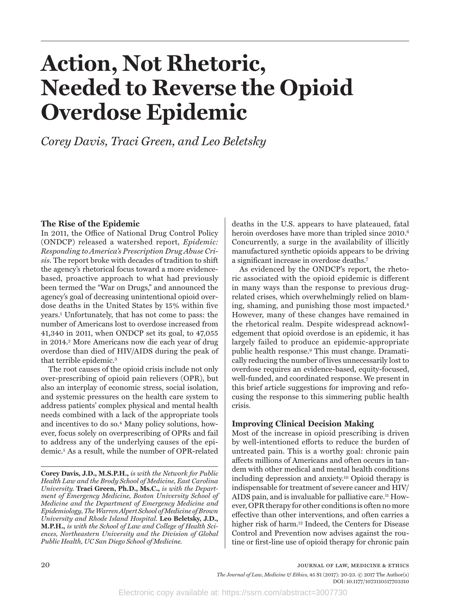# **Action, Not Rhetoric, Needed to Reverse the Opioid Overdose Epidemic**

*Corey Davis, Traci Green, and Leo Beletsky* 

#### **The Rise of the Epidemic**

In 2011, the Office of National Drug Control Policy (ONDCP) released a watershed report, *Epidemic: Responding to America's Prescription Drug Abuse Crisis*. The report broke with decades of tradition to shift the agency's rhetorical focus toward a more evidencebased, proactive approach to what had previously been termed the "War on Drugs," and announced the agency's goal of decreasing unintentional opioid overdose deaths in the United States by 15% within five years.1 Unfortunately, that has not come to pass: the number of Americans lost to overdose increased from 41,340 in 2011, when ONDCP set its goal, to 47,055 in 2014.2 More Americans now die each year of drug overdose than died of HIV/AIDS during the peak of that terrible epidemic.3

The root causes of the opioid crisis include not only over-prescribing of opioid pain relievers (OPR), but also an interplay of economic stress, social isolation, and systemic pressures on the health care system to address patients' complex physical and mental health needs combined with a lack of the appropriate tools and incentives to do so.4 Many policy solutions, however, focus solely on overprescribing of OPRs and fail to address any of the underlying causes of the epidemic.5 As a result, while the number of OPR-related

**Corey Davis, J.D., M.S.P.H.,** *is with the Network for Public Health Law and the Brody School of Medicine, East Carolina University.* **Traci Green, Ph.D., Ms.C.,** *is with the Department of Emergency Medicine, Boston University School of Medicine and the Department of Emergency Medicine and Epidemiology, The Warren Alpert School of Medicine of Brown University and Rhode Island Hospital.* **Leo Beletsky, J.D., M.P.H.,** *is with the School of Law and College of Health Sciences, Northeastern University and the Division of Global Public Health, UC San Diego School of Medicine.*

deaths in the U.S. appears to have plateaued, fatal heroin overdoses have more than tripled since 2010.<sup>6</sup> Concurrently, a surge in the availability of illicitly manufactured synthetic opioids appears to be driving a significant increase in overdose deaths.7

As evidenced by the ONDCP's report, the rhetoric associated with the opioid epidemic is different in many ways than the response to previous drugrelated crises, which overwhelmingly relied on blaming, shaming, and punishing those most impacted.8 However, many of these changes have remained in the rhetorical realm. Despite widespread acknowledgement that opioid overdose is an epidemic, it has largely failed to produce an epidemic-appropriate public health response.9 This must change. Dramatically reducing the number of lives unnecessarily lost to overdose requires an evidence-based, equity-focused, well-funded, and coordinated response. We present in this brief article suggestions for improving and refocusing the response to this simmering public health crisis.

#### **Improving Clinical Decision Making**

Most of the increase in opioid prescribing is driven by well-intentioned efforts to reduce the burden of untreated pain. This is a worthy goal: chronic pain affects millions of Americans and often occurs in tandem with other medical and mental health conditions including depression and anxiety.10 Opioid therapy is indispensable for treatment of severe cancer and HIV/ AIDS pain, and is invaluable for palliative care.<sup>11</sup> However, OPR therapy for other conditions is often no more effective than other interventions, and often carries a higher risk of harm.<sup>12</sup> Indeed, the Centers for Disease Control and Prevention now advises against the routine or first-line use of opioid therapy for chronic pain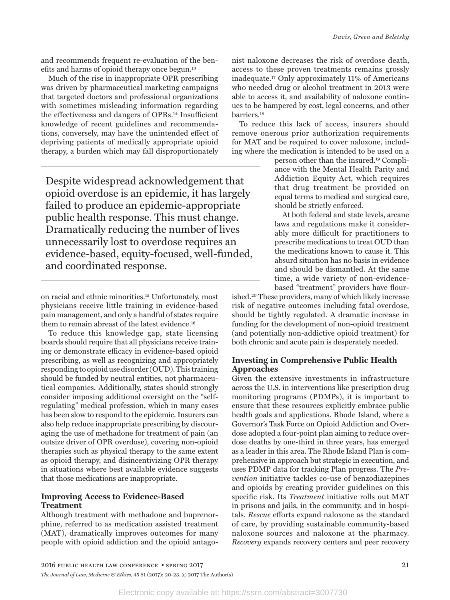and recommends frequent re-evaluation of the benefits and harms of opioid therapy once begun.13

Much of the rise in inappropriate OPR prescribing was driven by pharmaceutical marketing campaigns that targeted doctors and professional organizations with sometimes misleading information regarding the effectiveness and dangers of OPRs.14 Insufficient knowledge of recent guidelines and recommendations, conversely, may have the unintended effect of depriving patients of medically appropriate opioid therapy, a burden which may fall disproportionately

Despite widespread acknowledgement that opioid overdose is an epidemic, it has largely failed to produce an epidemic-appropriate public health response. This must change. Dramatically reducing the number of lives unnecessarily lost to overdose requires an evidence-based, equity-focused, well-funded, and coordinated response.

on racial and ethnic minorities.15 Unfortunately, most physicians receive little training in evidence-based pain management, and only a handful of states require them to remain abreast of the latest evidence.16

To reduce this knowledge gap, state licensing boards should require that all physicians receive training or demonstrate efficacy in evidence-based opioid prescribing, as well as recognizing and appropriately responding to opioid use disorder (OUD). This training should be funded by neutral entities, not pharmaceutical companies. Additionally, states should strongly consider imposing additional oversight on the "selfregulating" medical profession, which in many cases has been slow to respond to the epidemic. Insurers can also help reduce inappropriate prescribing by discouraging the use of methadone for treatment of pain (an outsize driver of OPR overdose), covering non-opioid therapies such as physical therapy to the same extent as opioid therapy, and disincentivizing OPR therapy in situations where best available evidence suggests that those medications are inappropriate.

#### **Improving Access to Evidence-Based Treatment**

Although treatment with methadone and buprenorphine, referred to as medication assisted treatment (MAT), dramatically improves outcomes for many people with opioid addiction and the opioid antago-

nist naloxone decreases the risk of overdose death, access to these proven treatments remains grossly inadequate.17 Only approximately 11% of Americans who needed drug or alcohol treatment in 2013 were able to access it, and availability of naloxone continues to be hampered by cost, legal concerns, and other barriers.18

To reduce this lack of access, insurers should remove onerous prior authorization requirements for MAT and be required to cover naloxone, including where the medication is intended to be used on a

person other than the insured.19 Compliance with the Mental Health Parity and Addiction Equity Act, which requires that drug treatment be provided on equal terms to medical and surgical care, should be strictly enforced.

At both federal and state levels, arcane laws and regulations make it considerably more difficult for practitioners to prescribe medications to treat OUD than the medications known to cause it. This absurd situation has no basis in evidence and should be dismantled. At the same time, a wide variety of non-evidencebased "treatment" providers have flour-

ished.20 These providers, many of which likely increase risk of negative outcomes including fatal overdose, should be tightly regulated. A dramatic increase in funding for the development of non-opioid treatment (and potentially non-addictive opioid treatment) for both chronic and acute pain is desperately needed.

#### **Investing in Comprehensive Public Health Approaches**

Given the extensive investments in infrastructure across the U.S. in interventions like prescription drug monitoring programs (PDMPs), it is important to ensure that these resources explicitly embrace public health goals and applications. Rhode Island, where a Governor's Task Force on Opioid Addiction and Overdose adopted a four-point plan aiming to reduce overdose deaths by one-third in three years, has emerged as a leader in this area. The Rhode Island Plan is comprehensive in approach but strategic in execution, and uses PDMP data for tracking Plan progress. The *Prevention* initiative tackles co-use of benzodiazepines and opioids by creating provider guidelines on this specific risk. Its *Treatment* initiative rolls out MAT in prisons and jails, in the community, and in hospitals. *Rescue* efforts expand naloxone as the standard of care, by providing sustainable community-based naloxone sources and naloxone at the pharmacy. *Recovery* expands recovery centers and peer recovery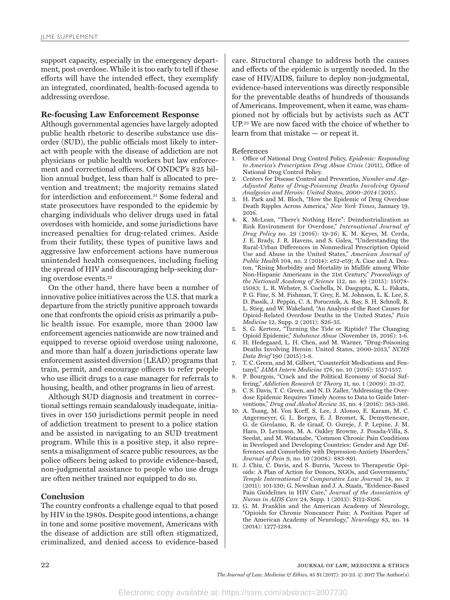support capacity, especially in the emergency department, post overdose. While it is too early to tell if these efforts will have the intended effect, they exemplify an integrated, coordinated, health-focused agenda to addressing overdose.

#### **Re-focusing Law Enforcement Response**

Although governmental agencies have largely adopted public health rhetoric to describe substance use disorder (SUD), the public officials most likely to interact with people with the disease of addiction are not physicians or public health workers but law enforcement and correctional officers. Of ONDCP's \$25 billion annual budget, less than half is allocated to prevention and treatment; the majority remains slated for interdiction and enforcement.21 Some federal and state prosecutors have responded to the epidemic by charging individuals who deliver drugs used in fatal overdoses with homicide, and some jurisdictions have increased penalties for drug-related crimes. Aside from their futility, these types of punitive laws and aggressive law enforcement actions have numerous unintended health consequences, including fueling the spread of HIV and discouraging help-seeking during overdose events.22

On the other hand, there have been a number of innovative police initiatives across the U.S. that mark a departure from the strictly punitive approach towards one that confronts the opioid crisis as primarily a public health issue. For example, more than 2000 law enforcement agencies nationwide are now trained and equipped to reverse opioid overdose using naloxone, and more than half a dozen jurisdictions operate law enforcement assisted diversion (LEAD) programs that train, permit, and encourage officers to refer people who use illicit drugs to a case manager for referrals to housing, health, and other programs in lieu of arrest.

Although SUD diagnosis and treatment in correctional settings remain scandalously inadequate, initiatives in over 150 jurisdictions permit people in need of addiction treatment to present to a police station and be assisted in navigating to an SUD treatment program. While this is a positive step, it also represents a misalignment of scarce public resources, as the police officers being asked to provide evidence-based, non-judgmental assistance to people who use drugs are often neither trained nor equipped to do so.

#### **Conclusion**

The country confronts a challenge equal to that posed by HIV in the 1980s. Despite good intentions, a change in tone and some positive movement, Americans with the disease of addiction are still often stigmatized, criminalized, and denied access to evidence-based

care. Structural change to address both the causes and effects of the epidemic is urgently needed. In the case of HIV/AIDS, failure to deploy non-judgmental, evidence-based interventions was directly responsible for the preventable deaths of hundreds of thousands of Americans. Improvement, when it came, was championed not by officials but by activists such as ACT UP.23 We are now faced with the choice of whether to learn from that mistake — or repeat it.

References

- 1. Office of National Drug Control Policy, *Epidemic: Responding to America's Prescription Drug Abuse Crisis* (2011), Office of National Drug Control Policy.
- 2. Centers for Disease Control and Prevention, *Number and Age-Adjusted Rates of Drug-Poisoning Deaths Involving Opioid Analgesics and Heroin: United States, 2000–2014* (2015).
- 3. H. Park and M. Bloch, "How the Epidemic of Drug Overdose Death Ripples Across America," *New York Times*, January 19, 2016.
- 4. K. McLean, "There's Nothing Here": Deindustrialization as Risk Environment for Overdose," *International Journal of Drug Policy* no. 29 (2016): 19-26; K. M. Keyes, M. Cerda, J. E. Brady, J. R. Havens, and S. Galea, "Understanding the Rural-Urban Differences in Nonmedical Prescription Opioid Use and Abuse in the United States," *American Journal of Public Health* 104, no. 2 (2014): e52-e59; A. Case and A. Deaton, "Rising Morbidity and Mortality in Midlife among White Non-Hispanic Americans in the 21st Century," *Proceedings of the Nationall Academy of Science* 112, no. 49 (2015): 15078- 15083; L. R. Webster, S. Cochella, N. Dasgupta, K. L. Fakata, P. G. Fine, S. M. Fishman, T. Grey, E. M. Johnson, L. K. Lee, S. D. Passik, J. Peppin, C. A. Porucznik, A. Ray, S. H. Schnoll, R. L. Stieg, and W. Wakeland, "An Analysis of the Root Causes for Opioid-Related Overdose Deaths in the United States," *Pain Medicine* 12, Supp. 2 (2011): S26-35.
- 5. S. G. Kertesz, "Turning the Tide or Riptide? The Changing Opioid Epidemic," *Substance Abuse* (November 18, 2016): 1-6*.*
- 6. H. Hedegaard, L. H. Chen, and M. Warner, "Drug-Poisoning Deaths Involving Heroin: United States, 2000-2013," *NCHS Data Brief* 190 (2015):1-8.
- 7. T. C. Green, and M. Gilbert, "Counterfeit Medications and Fentanyl," *JAMA Intern Medicine* 176, no. 10 (2016): 1557-1557.
- 8. P. Bourgois, "Crack and the Political Economy of Social Suffering," *Addiction Research & Theory* 11, no. 1 (2009): 31-37.
- 9. C. S. Davis, T. C. Green, and N. D. Zaller, "Addressing the Overdose Epidemic Requires Timely Access to Data to Guide Interventions," *Drug and Alcohol Review* 35, no. 4 (2016): 383-386.
- 10. A. Tsang, M. Von Korff, S. Lee, J. Alonso, E. Karam, M. C. Angermeyer, G. L. Borges, E. J. Bromet, K. Demytteneare, G. de Girolamo, R. de Graaf, O. Gureje, J. P. Lepine, J. M. Haro, D. Levinson, M. A. Oakley Browne, J. Posada-Villa, S. Seedat, and M. Watanabe, "Common Chronic Pain Conditions in Developed and Developing Countries: Gender and Age Differences and Comorbidity with Depression-Anxiety Disorders," *Journal of Pain* 9, no. 10 (2008): 883-891.
- 11. J. Chiu, C. Davis, and S. Burris, "Access to Therapeutic Opioids: A Plan of Action for Donors, NGOs, and Governments," *Temple International & Comparative Law Journal* 24, no. 2 (2011): 101-130; G. Newshan and J. A. Staats, "Evidence-Based Pain Guidelines in HIV Care," *Journal of the Association of Nurses in AIDS Care* 24, Supp. 1 (2013): S112-S126.
- 12. G. M. Franklin and the American Academy of Neurology, "Opioids for Chronic Noncancer Pain: A Position Paper of the American Academy of Neurology," *Neurology* 83, no. 14 (2014): 1277-1284.